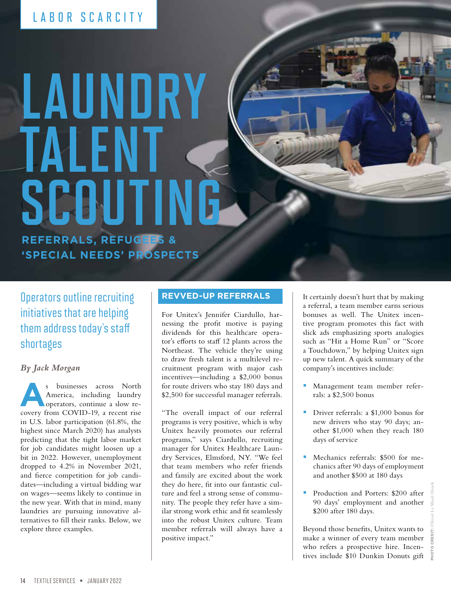# LABOR SCARCITY

# LAUNDRY TALENT SCOUTING **REFERRALS, REFUGEES & 'SPECIAL NEEDS' PROSPECTS**

Operators outline recruiting initiatives that are helping them address today's staff shortages

### *By Jack Morgan*

**As businesses across North America, including laundry operators, continue a slow re-<br>
covery from COVID-19, a recent rise** America, including laundry covery from COVID-19, a recent rise in U.S. labor participation (61.8%, the highest since March 2020) has analysts predicting that the tight labor market for job candidates might loosen up a bit in 2022. However, unemployment dropped to 4.2% in November 2021, and fierce competition for job candidates—including a virtual bidding war on wages—seems likely to continue in the new year. With that in mind, many laundries are pursuing innovative alternatives to fill their ranks. Below, we explore three examples.

#### **REVVED-UP REFERRALS**

For Unitex's Jennifer Ciardullo, harnessing the profit motive is paying dividends for this healthcare operator's efforts to staff 12 plants across the Northeast. The vehicle they're using to draw fresh talent is a multilevel recruitment program with major cash incentives—including a \$2,000 bonus for route drivers who stay 180 days and \$2,500 for successful manager referrals.

"The overall impact of our referral programs is very positive, which is why Unitex heavily promotes our referral programs," says Ciardullo, recruiting manager for Unitex Healthcare Laundry Services, Elmsford, NY. "We feel that team members who refer friends and family are excited about the work they do here, fit into our fantastic culture and feel a strong sense of community. The people they refer have a similar strong work ethic and fit seamlessly into the robust Unitex culture. Team member referrals will always have a positive impact."

It certainly doesn't hurt that by making a referral, a team member earns serious bonuses as well. The Unitex incentive program promotes this fact with slick ads emphasizing sports analogies such as "Hit a Home Run" or "Score a Touchdown," by helping Unitex sign up new talent. A quick summary of the company's incentives include:

- **Management team member refer**rals: a \$2,500 bonus
- Driver referrals: a \$1,000 bonus for new drivers who stay 90 days; another \$1,000 when they reach 180 days of service
- Mechanics referrals: \$500 for mechanics after 90 days of employment and another \$500 at 180 days
- Production and Porters: \$200 after 90 days' employment and another \$200 after 180 days.

Beyond those benefits, Unitex wants to make a winner of every team member who refers a prospective hire. Incentives include \$10 Dunkin Donuts gift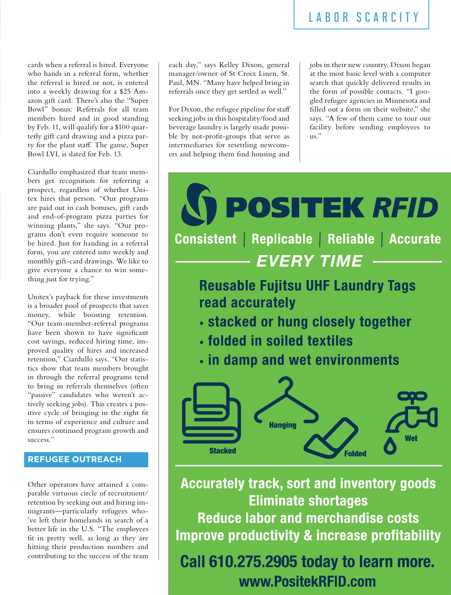cards when a referral is hired. Everyone who hands in a referral form, whether the referral is hired or not, is entered into a weekly drawing for a \$25 Amazon gift card. There's also the "Super Bowl" bonus: Referrals for all team members hired and in good standing by Feb. 11, will qualify for a \$100 quarterly gift card drawing and a pizza party for the plant staff. The game, Super Bowl LVI, is slated for Feb. 13.

Ciardullo emphasized that team members get recognition for referring a prospect, regardless of whether Unitex hires that person. "Our programs are paid out in cash bonuses, gift cards and end-of-program pizza parties for winning plants," she says. "Our programs don't even require someone to be hired. Just for handing in a referral form, you are entered into weekly and monthly gift-card drawings. We like to give everyone a chance to win something just for trying."

Unitex's payback for these investments is a broader pool of prospects that saves money, while boosting retention. "Our team-member-referral programs have been shown to have significant cost savings, reduced hiring time, improved quality of hires and increased retention," Ciardullo says. "Our statistics show that team members brought in through the referral programs tend to bring in referrals themselves (often "passive" candidates who weren't actively seeking jobs). This creates a positive cycle of bringing in the right fit in terms of experience and culture and ensures continued program growth and success."

### **REFUGEE OUTREACH**

Other operators have attained a comparable virtuous circle of recruitment/ retention by seeking out and hiring immigrants—particularly refugees who- 've left their homelands in search of a better life in the U.S. "The employees fit in pretty well, as long as they are hitting their production numbers and contributing to the success of the team

each day," says Kelley Dixon, general manager/owner of St Croix Linen, St. Paul, MN. "Many have helped bring in referrals once they get settled as well."

For Dixon, the refugee pipeline for staff seeking jobs in this hospitality/food and beverage laundry is largely made possible by not-profit-groups that serve as intermediaries for resettling newcomers and helping them find housing and  $\parallel$ 

jobs in their new country. Dixon began at the most basic level with a computer search that quickly delivered results in the form of possible contacts. "I googled refugee agencies in Minnesota and filled out a form on their website," she says. "A few of them came to tour our facility before sending employees to us."



**Accurately track, sort and inventory goods Eliminate shortages Reduce labor and merchandise costs Improve productivity & increase profitability** 

Call 610.275.2905 today to learn more. www.PositekRFID.com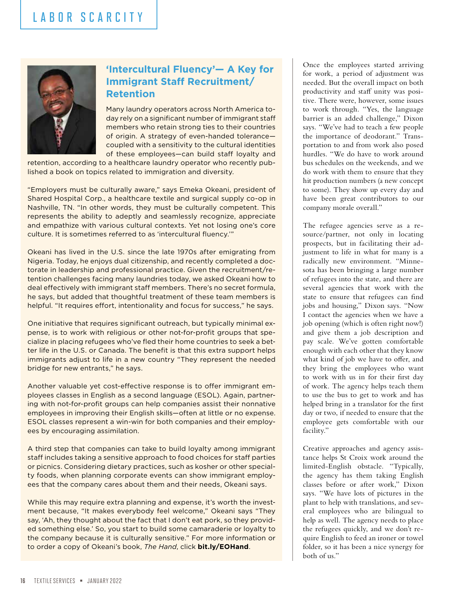# LABOR SCARCITY



### **'Intercultural Fluency'— A Key for Immigrant Staff Recruitment/ Retention**

Many laundry operators across North America today rely on a significant number of immigrant staff members who retain strong ties to their countries of origin. A strategy of even-handed tolerance coupled with a sensitivity to the cultural identities of these employees—can build staff loyalty and

retention, according to a healthcare laundry operator who recently published a book on topics related to immigration and diversity.

"Employers must be culturally aware," says Emeka Okeani, president of Shared Hospital Corp., a healthcare textile and surgical supply co-op in Nashville, TN. "In other words, they must be culturally competent. This represents the ability to adeptly and seamlessly recognize, appreciate and empathize with various cultural contexts. Yet not losing one's core culture. It is sometimes referred to as 'intercultural fluency.'"

Okeani has lived in the U.S. since the late 1970s after emigrating from Nigeria. Today, he enjoys dual citizenship, and recently completed a doctorate in leadership and professional practice. Given the recruitment/retention challenges facing many laundries today, we asked Okeani how to deal effectively with immigrant staff members. There's no secret formula, he says, but added that thoughtful treatment of these team members is helpful. "It requires effort, intentionality and focus for success," he says.

One initiative that requires significant outreach, but typically minimal expense, is to work with religious or other not-for-profit groups that specialize in placing refugees who've fled their home countries to seek a better life in the U.S. or Canada. The benefit is that this extra support helps immigrants adjust to life in a new country "They represent the needed bridge for new entrants," he says.

Another valuable yet cost-effective response is to offer immigrant employees classes in English as a second language (ESOL). Again, partnering with not-for-profit groups can help companies assist their nonnative employees in improving their English skills—often at little or no expense. ESOL classes represent a win-win for both companies and their employees by encouraging assimilation.

A third step that companies can take to build loyalty among immigrant staff includes taking a sensitive approach to food choices for staff parties or picnics. Considering dietary practices, such as kosher or other specialty foods, when planning corporate events can show immigrant employees that the company cares about them and their needs, Okeani says.

While this may require extra planning and expense, it's worth the investment because, "It makes everybody feel welcome," Okeani says "They say, 'Ah, they thought about the fact that I don't eat pork, so they provided something else.' So, you start to build some camaraderie or loyalty to the company because it is culturally sensitive." For more information or to order a copy of Okeani's book, *The Hand*, click **[bit.ly/EOHand](http://bit.ly/EOHand)**.

Once the employees started arriving for work, a period of adjustment was needed. But the overall impact on both productivity and staff unity was positive. There were, however, some issues to work through. "Yes, the language barrier is an added challenge," Dixon says. "We've had to teach a few people the importance of deodorant." Transportation to and from work also posed hurdles. "We do have to work around bus schedules on the weekends, and we do work with them to ensure that they hit production numbers (a new concept to some). They show up every day and have been great contributors to our company morale overall."

The refugee agencies serve as a resource/partner, not only in locating prospects, but in facilitating their adjustment to life in what for many is a radically new environment. "Minnesota has been bringing a large number of refugees into the state, and there are several agencies that work with the state to ensure that refugees can find jobs and housing," Dixon says. "Now I contact the agencies when we have a job opening (which is often right now!) and give them a job description and pay scale. We've gotten comfortable enough with each other that they know what kind of job we have to offer, and they bring the employees who want to work with us in for their first day of work. The agency helps teach them to use the bus to get to work and has helped bring in a translator for the first day or two, if needed to ensure that the employee gets comfortable with our facility."

Creative approaches and agency assistance helps St Croix work around the limited-English obstacle. "Typically, the agency has them taking English classes before or after work," Dixon says. "We have lots of pictures in the plant to help with translations, and several employees who are bilingual to help as well. The agency needs to place the refugees quickly, and we don't require English to feed an ironer or towel folder, so it has been a nice synergy for both of us."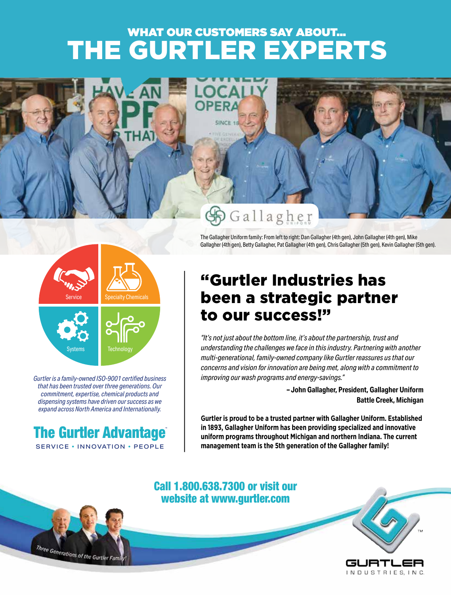# THE GURTLER EXPERTS WHAT OUR CUSTOMERS SAY ABOUT...





*Gurtler is a family-owned ISO-9001 certified business that has been trusted over three generations. Our commitment, expertise, chemical products and dispensing systems have driven our success as we expand across North America and Internationally.*



Three Generations of the Gurtler Fam

# "Gurtler Industries has been a strategic partner to our success!"

The Gallagher Uniform family: From left to right: Dan Gallagher (4th gen), John Gallagher (4th gen), Mike Gallagher (4th gen), Betty Gallagher, Pat Gallagher (4th gen), Chris Gallagher (5th gen), Kevin Gallagher (5th gen).

*"It's not just about the bottom line, it's about the partnership, trust and understanding the challenges we face in this industry. Partnering with another multi-generational, family-owned company like Gurtler reassures us that our concerns and vision for innovation are being met, along with a commitment to improving our wash programs and energy-savings."* 

> **– John Gallagher, President, Gallagher Uniform Battle Creek, Michigan**

**Gurtler is proud to be a trusted partner with Gallagher Uniform. Established in 1893, Gallagher Uniform has been providing specialized and innovative uniform programs throughout Michigan and northern Indiana. The current management team is the 5th generation of the Gallagher family!**

## Call 1.800.638.7300 or visit our website at www.gurtler.com